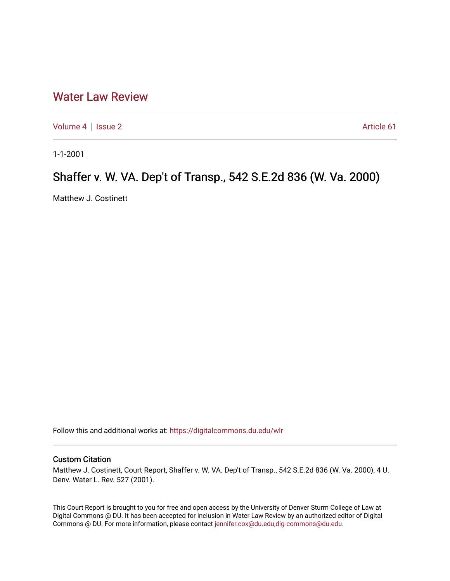# [Water Law Review](https://digitalcommons.du.edu/wlr)

[Volume 4](https://digitalcommons.du.edu/wlr/vol4) | [Issue 2](https://digitalcommons.du.edu/wlr/vol4/iss2) Article 61

1-1-2001

# Shaffer v. W. VA. Dep't of Transp., 542 S.E.2d 836 (W. Va. 2000)

Matthew J. Costinett

Follow this and additional works at: [https://digitalcommons.du.edu/wlr](https://digitalcommons.du.edu/wlr?utm_source=digitalcommons.du.edu%2Fwlr%2Fvol4%2Fiss2%2F61&utm_medium=PDF&utm_campaign=PDFCoverPages) 

## Custom Citation

Matthew J. Costinett, Court Report, Shaffer v. W. VA. Dep't of Transp., 542 S.E.2d 836 (W. Va. 2000), 4 U. Denv. Water L. Rev. 527 (2001).

This Court Report is brought to you for free and open access by the University of Denver Sturm College of Law at Digital Commons @ DU. It has been accepted for inclusion in Water Law Review by an authorized editor of Digital Commons @ DU. For more information, please contact [jennifer.cox@du.edu,dig-commons@du.edu.](mailto:jennifer.cox@du.edu,dig-commons@du.edu)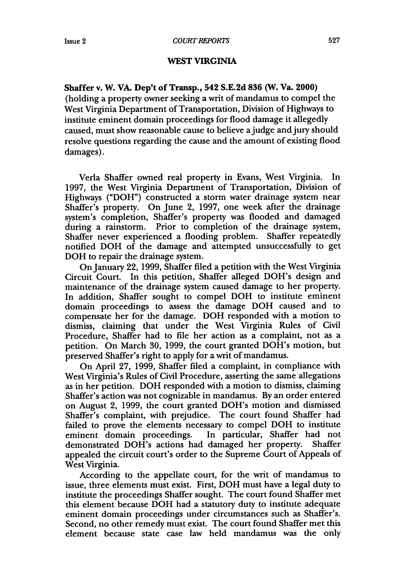## WEST *VIRGINIA*

### **Shaffer v. W. VA. Dep't of Transp., 542 S.E.2d 836 (W. Va. 2000)**

(holding a property owner seeking a writ of mandamus to compel the West Virginia Department of Transportation, Division of Highways to institute eminent domain proceedings for flood damage it allegedly caused, must show reasonable cause to believe ajudge and jury should resolve questions regarding the cause and the amount of existing flood damages).

Verla Shaffer owned real property in Evans, West Virginia. In 1997, the West Virginia Department of Transportation, Division of Highways ("DOH") constructed a storm water drainage system near Shaffer's property. On June 2, 1997, one week after the drainage system's completion, Shaffer's property was flooded and damaged during a rainstorm. Prior to completion of the drainage system, Shaffer never experienced a flooding problem. Shaffer repeatedly notified DOH of the damage and attempted unsuccessfully to get DOH to repair the drainage system.

On January 22, 1999, Shaffer filed a petition with the West Virginia Circuit Court. In this petition, Shaffer alleged DOH's design and maintenance of the drainage system caused damage to her property. In addition, Shaffer sought to compel DOH to institute eminent domain proceedings to assess the damage DOH caused and to compensate her for the damage. DOH responded with a motion to dismiss, claiming that under the West Virginia Rules of Civil Procedure, Shaffer had to file her action as a complaint, not as a petition. On March 30, 1999, the court granted DOH's motion, but preserved Shaffer's right to apply for a writ of mandamus.

On April 27, 1999, Shaffer filed a complaint, in compliance with West Virginia's Rules of Civil Procedure, asserting the same allegations as in her petition. DOH responded with a motion to dismiss, claiming Shaffer's action was not cognizable in mandamus. By an order entered on August 2, 1999, the court granted DOH's motion and dismissed Shaffer's complaint, with prejudice. The court found Shaffer had failed to prove the elements necessary to compel DOH to institute eminent domain proceedings. In particular, Shaffer had not demonstrated DOH's actions had damaged her property. Shaffer appealed the circuit court's order to the Supreme Court of Appeals of West Virginia.

According to the appellate court, for the writ of mandamus to issue, three elements must exist. First, DOH must have a legal duty to institute the proceedings Shaffer sought. The court found Shaffer met this element because DOH had a statutory duty to institute adequate eminent domain proceedings under circumstances such as Shaffer's. Second, no other remedy must exist. The court found Shaffer met this element because state case law held mandamus was the only